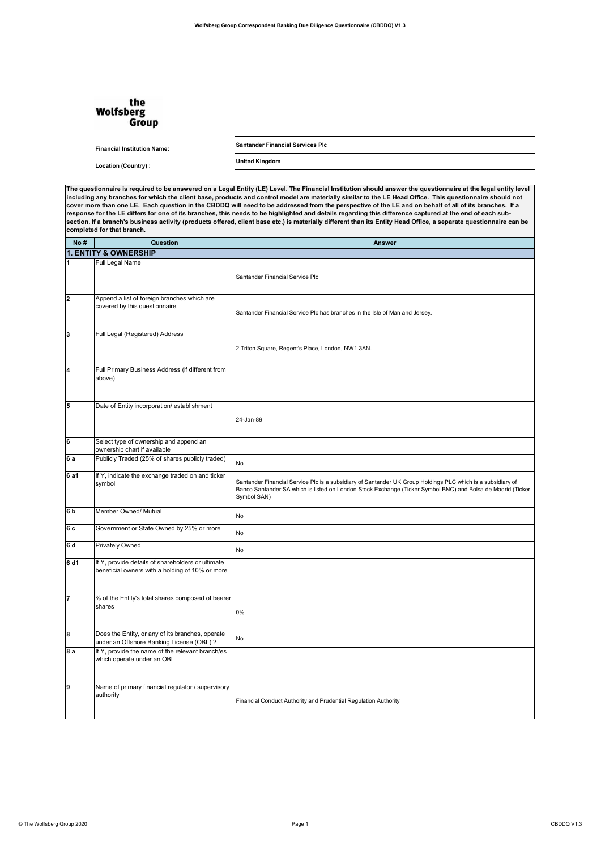## the **Wolfsberg** Group

**Financial Institution Name: Santander Financial Services Plc**

**Location (Country) : United Kingdom**

**The questionnaire is required to be answered on a Legal Entity (LE) Level. The Financial Institution should answer the questionnaire at the legal entity level including any branches for which the client base, products and control model are materially similar to the LE Head Office. This questionnaire should not cover more than one LE. Each question in the CBDDQ will need to be addressed from the perspective of the LE and on behalf of all of its branches. If a response for the LE differs for one of its branches, this needs to be highlighted and details regarding this difference captured at the end of each subsection. If a branch's business activity (products offered, client base etc.) is materially different than its Entity Head Office, a separate questionnaire can be completed for that branch.**

| No#                     | Question                                                                                             | <b>Answer</b>                                                                                                                                                                                                                             |  |  |
|-------------------------|------------------------------------------------------------------------------------------------------|-------------------------------------------------------------------------------------------------------------------------------------------------------------------------------------------------------------------------------------------|--|--|
|                         | 1. ENTITY & OWNERSHIP                                                                                |                                                                                                                                                                                                                                           |  |  |
| 1                       | Full Legal Name                                                                                      | Santander Financial Service Plc                                                                                                                                                                                                           |  |  |
| $\overline{\mathbf{2}}$ | Append a list of foreign branches which are<br>covered by this questionnaire                         | Santander Financial Service Plc has branches in the Isle of Man and Jersey.                                                                                                                                                               |  |  |
| 3                       | Full Legal (Registered) Address                                                                      | 2 Triton Square, Regent's Place, London, NW1 3AN.                                                                                                                                                                                         |  |  |
| 4                       | Full Primary Business Address (if different from<br>above)                                           |                                                                                                                                                                                                                                           |  |  |
| 5                       | Date of Entity incorporation/ establishment                                                          | 24-Jan-89                                                                                                                                                                                                                                 |  |  |
| 6                       | Select type of ownership and append an<br>ownership chart if available                               |                                                                                                                                                                                                                                           |  |  |
| 6a                      | Publicly Traded (25% of shares publicly traded)                                                      | No                                                                                                                                                                                                                                        |  |  |
| 6 a1                    | If Y, indicate the exchange traded on and ticker<br>symbol                                           | Santander Financial Service Plc is a subsidiary of Santander UK Group Holdings PLC which is a subsidiary of<br>Banco Santander SA which is listed on London Stock Exchange (Ticker Symbol BNC) and Bolsa de Madrid (Ticker<br>Symbol SAN) |  |  |
| 6 <sub>b</sub>          | Member Owned/ Mutual                                                                                 | No                                                                                                                                                                                                                                        |  |  |
| 6 <sub>c</sub>          | Government or State Owned by 25% or more                                                             | No                                                                                                                                                                                                                                        |  |  |
| 6 d                     | <b>Privately Owned</b>                                                                               | No                                                                                                                                                                                                                                        |  |  |
| 6 d1                    | If Y, provide details of shareholders or ultimate<br>beneficial owners with a holding of 10% or more |                                                                                                                                                                                                                                           |  |  |
| 7                       | % of the Entity's total shares composed of bearer<br>shares                                          | 0%                                                                                                                                                                                                                                        |  |  |
| 8                       | Does the Entity, or any of its branches, operate<br>under an Offshore Banking License (OBL) ?        | No                                                                                                                                                                                                                                        |  |  |
| 8a                      | If Y, provide the name of the relevant branch/es<br>which operate under an OBL                       |                                                                                                                                                                                                                                           |  |  |
| 9                       | Name of primary financial regulator / supervisory<br>authority                                       | Financial Conduct Authority and Prudential Regulation Authority                                                                                                                                                                           |  |  |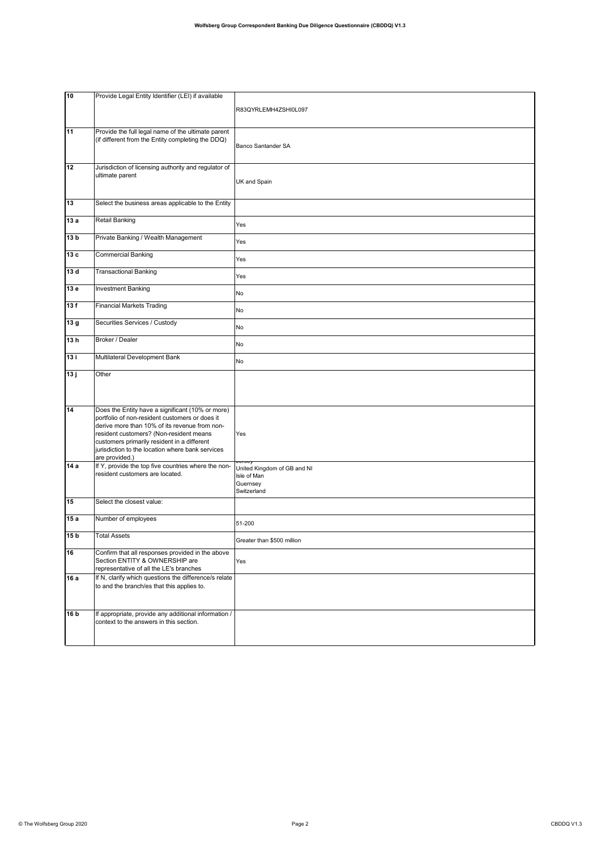| 10              | Provide Legal Entity Identifier (LEI) if available                                                                                                                                                                                                                                                                  |                                                                       |
|-----------------|---------------------------------------------------------------------------------------------------------------------------------------------------------------------------------------------------------------------------------------------------------------------------------------------------------------------|-----------------------------------------------------------------------|
|                 |                                                                                                                                                                                                                                                                                                                     | R83QYRLEMH4ZSHI0L097                                                  |
| 11              | Provide the full legal name of the ultimate parent<br>(if different from the Entity completing the DDQ)                                                                                                                                                                                                             | Banco Santander SA                                                    |
| 12              | Jurisdiction of licensing authority and regulator of<br>ultimate parent                                                                                                                                                                                                                                             | UK and Spain                                                          |
| 13              | Select the business areas applicable to the Entity                                                                                                                                                                                                                                                                  |                                                                       |
| 13a             | Retail Banking                                                                                                                                                                                                                                                                                                      | Yes                                                                   |
| 13 <sub>b</sub> | Private Banking / Wealth Management                                                                                                                                                                                                                                                                                 | Yes                                                                   |
| 13 c            | <b>Commercial Banking</b>                                                                                                                                                                                                                                                                                           | Yes                                                                   |
| 13d             | <b>Transactional Banking</b>                                                                                                                                                                                                                                                                                        | Yes                                                                   |
| 13 e            | <b>Investment Banking</b>                                                                                                                                                                                                                                                                                           | No                                                                    |
| 13f             | <b>Financial Markets Trading</b>                                                                                                                                                                                                                                                                                    | No                                                                    |
| 13g             | Securities Services / Custody                                                                                                                                                                                                                                                                                       | No                                                                    |
| 13h             | Broker / Dealer                                                                                                                                                                                                                                                                                                     | No                                                                    |
| 13i             | Multilateral Development Bank                                                                                                                                                                                                                                                                                       | No                                                                    |
|                 | Other                                                                                                                                                                                                                                                                                                               |                                                                       |
| 13j             |                                                                                                                                                                                                                                                                                                                     |                                                                       |
| 14              | Does the Entity have a significant (10% or more)<br>portfolio of non-resident customers or does it<br>derive more than 10% of its revenue from non-<br>resident customers? (Non-resident means<br>customers primarily resident in a different<br>jurisdiction to the location where bank services<br>are provided.) | Yes                                                                   |
| 14 a            | If Y, provide the top five countries where the non-<br>resident customers are located.                                                                                                                                                                                                                              | United Kingdom of GB and NI<br>Isle of Man<br>Guernsey<br>Switzerland |
| 15              | Select the closest value:                                                                                                                                                                                                                                                                                           |                                                                       |
| 15a             | Number of employees                                                                                                                                                                                                                                                                                                 | 51-200                                                                |
| 15 <sub>b</sub> | <b>Total Assets</b>                                                                                                                                                                                                                                                                                                 | Greater than \$500 million                                            |
| 16              | Confirm that all responses provided in the above<br>Section ENTITY & OWNERSHIP are<br>representative of all the LE's branches                                                                                                                                                                                       | Yes                                                                   |
| 16 a            | If N, clarify which questions the difference/s relate<br>to and the branch/es that this applies to.                                                                                                                                                                                                                 |                                                                       |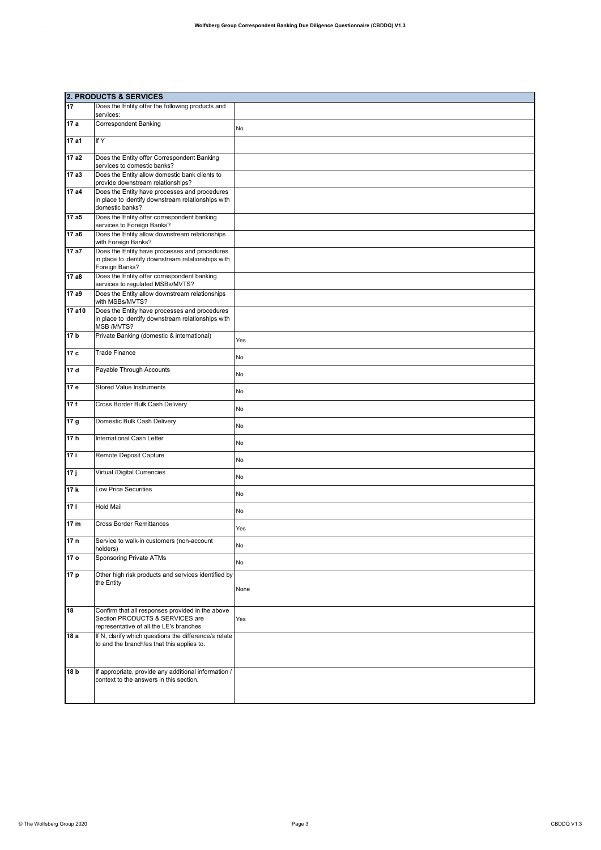|                 | <b>2. PRODUCTS &amp; SERVICES</b>                                                                                              |      |  |
|-----------------|--------------------------------------------------------------------------------------------------------------------------------|------|--|
| 17              | Does the Entity offer the following products and<br>services:                                                                  |      |  |
| 17a             | <b>Correspondent Banking</b>                                                                                                   | No   |  |
| 17 a1           | If Y                                                                                                                           |      |  |
| 17 a2           | Does the Entity offer Correspondent Banking<br>services to domestic banks?                                                     |      |  |
| 17a3            | Does the Entity allow domestic bank clients to<br>provide downstream relationships?                                            |      |  |
| 17 a4           | Does the Entity have processes and procedures<br>in place to identify downstream relationships with<br>domestic banks?         |      |  |
| 17 a5           | Does the Entity offer correspondent banking<br>services to Foreign Banks?                                                      |      |  |
| 17 a6           | Does the Entity allow downstream relationships<br>with Foreign Banks?                                                          |      |  |
| 17 a7           | Does the Entity have processes and procedures<br>in place to identify downstream relationships with<br>Foreign Banks?          |      |  |
| 17 a8           | Does the Entity offer correspondent banking<br>services to regulated MSBs/MVTS?                                                |      |  |
| 17 a9           | Does the Entity allow downstream relationships<br>with MSBs/MVTS?                                                              |      |  |
| 17 a10          | Does the Entity have processes and procedures<br>in place to identify downstream relationships with<br>MSB /MVTS?              |      |  |
| 17 b            | Private Banking (domestic & international)                                                                                     | Yes  |  |
| 17c             | <b>Trade Finance</b>                                                                                                           | No   |  |
| 17 d            | Payable Through Accounts                                                                                                       | No   |  |
| 17 e            | <b>Stored Value Instruments</b>                                                                                                | No   |  |
| 17f             | Cross Border Bulk Cash Delivery                                                                                                | No   |  |
| 17 <sub>g</sub> | Domestic Bulk Cash Delivery                                                                                                    | No   |  |
| 17h             | International Cash Letter                                                                                                      | No   |  |
| 17 i            | Remote Deposit Capture                                                                                                         | No   |  |
| 17j             | Virtual /Digital Currencies                                                                                                    | No   |  |
| 17 k            | <b>Low Price Securities</b>                                                                                                    | No   |  |
| 17 <sub>1</sub> | <b>Hold Mail</b>                                                                                                               | No   |  |
| 17 <sub>m</sub> | <b>Cross Border Remittances</b>                                                                                                | Yes  |  |
| 17 <sub>n</sub> | Service to walk-in customers (non-account<br>holders)                                                                          | No   |  |
| 17 o            | Sponsoring Private ATMs                                                                                                        | No   |  |
| 17 p            | Other high risk products and services identified by<br>the Entity                                                              | None |  |
| 18              | Confirm that all responses provided in the above<br>Section PRODUCTS & SERVICES are<br>representative of all the LE's branches | Yes  |  |
| 18 a            | If N, clarify which questions the difference/s relate<br>to and the branch/es that this applies to.                            |      |  |
| 18 <sub>b</sub> | If appropriate, provide any additional information /<br>context to the answers in this section.                                |      |  |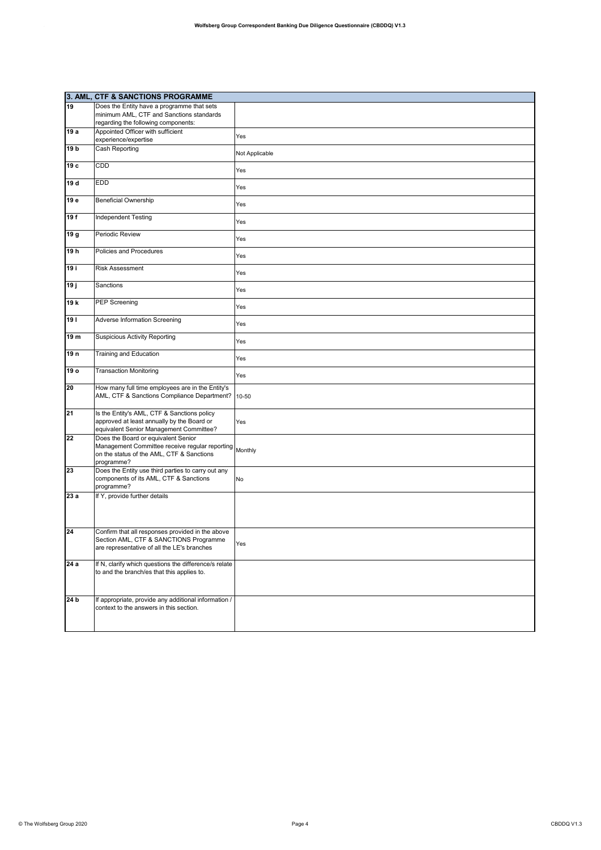|                 | 3. AML, CTF & SANCTIONS PROGRAMME                                                                                                                |                |
|-----------------|--------------------------------------------------------------------------------------------------------------------------------------------------|----------------|
| 19              | Does the Entity have a programme that sets                                                                                                       |                |
|                 | minimum AML, CTF and Sanctions standards                                                                                                         |                |
|                 | regarding the following components:                                                                                                              |                |
| 19 a            | Appointed Officer with sufficient                                                                                                                | Yes            |
|                 | experience/expertise                                                                                                                             |                |
| 19 <sub>b</sub> | <b>Cash Reporting</b>                                                                                                                            | Not Applicable |
| 19 с            | CDD                                                                                                                                              | Yes            |
| 19 d            | <b>EDD</b>                                                                                                                                       | Yes            |
| 19 e            | <b>Beneficial Ownership</b>                                                                                                                      | Yes            |
| 19f             | <b>Independent Testing</b>                                                                                                                       | Yes            |
| 19g             | Periodic Review                                                                                                                                  | Yes            |
| 19h             | Policies and Procedures                                                                                                                          | Yes            |
| 19 i            | <b>Risk Assessment</b>                                                                                                                           | Yes            |
| 19j             | Sanctions                                                                                                                                        | Yes            |
| 19 k            | <b>PEP Screening</b>                                                                                                                             | Yes            |
| 191             | <b>Adverse Information Screening</b>                                                                                                             | Yes            |
| 19 m            | <b>Suspicious Activity Reporting</b>                                                                                                             | Yes            |
| 19 <sub>n</sub> | <b>Training and Education</b>                                                                                                                    | Yes            |
| 19 o            | <b>Transaction Monitoring</b>                                                                                                                    | Yes            |
| 20              | How many full time employees are in the Entity's<br>AML, CTF & Sanctions Compliance Department?                                                  | 10-50          |
| 21              | Is the Entity's AML, CTF & Sanctions policy<br>approved at least annually by the Board or<br>equivalent Senior Management Committee?             | Yes            |
| 22              | Does the Board or equivalent Senior<br>Management Committee receive regular reporting<br>on the status of the AML, CTF & Sanctions<br>programme? | Monthly        |
| 23              | Does the Entity use third parties to carry out any<br>components of its AML, CTF & Sanctions<br>programme?                                       | No             |
| 23 a            | If Y, provide further details                                                                                                                    |                |
| 24              | Confirm that all responses provided in the above<br>Section AML, CTF & SANCTIONS Programme<br>are representative of all the LE's branches        | Yes            |
| 24a             | If N, clarify which questions the difference/s relate<br>to and the branch/es that this applies to.                                              |                |
| 24 <sub>b</sub> | If appropriate, provide any additional information /<br>context to the answers in this section.                                                  |                |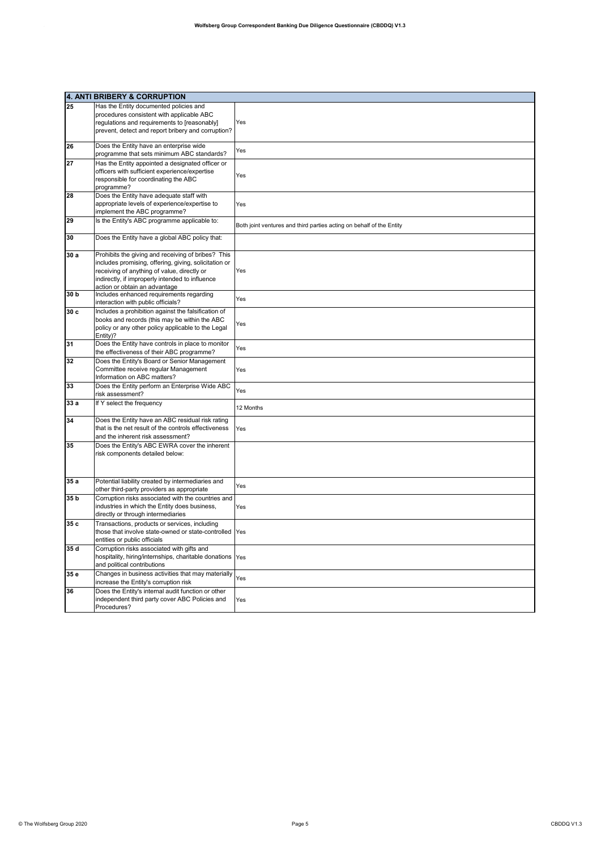|                 | 4. ANTI BRIBERY & CORRUPTION                                                                                                                                                                                                                   |                                                                      |
|-----------------|------------------------------------------------------------------------------------------------------------------------------------------------------------------------------------------------------------------------------------------------|----------------------------------------------------------------------|
| 25              | Has the Entity documented policies and<br>procedures consistent with applicable ABC<br>regulations and requirements to [reasonably]<br>prevent, detect and report bribery and corruption?                                                      | Yes                                                                  |
| 26              | Does the Entity have an enterprise wide<br>programme that sets minimum ABC standards?                                                                                                                                                          | Yes                                                                  |
| 27              | Has the Entity appointed a designated officer or<br>officers with sufficient experience/expertise<br>responsible for coordinating the ABC<br>programme?                                                                                        | Yes                                                                  |
| 28              | Does the Entity have adequate staff with<br>appropriate levels of experience/expertise to<br>implement the ABC programme?                                                                                                                      | Yes                                                                  |
| 29              | Is the Entity's ABC programme applicable to:                                                                                                                                                                                                   | Both joint ventures and third parties acting on behalf of the Entity |
| 30              | Does the Entity have a global ABC policy that:                                                                                                                                                                                                 |                                                                      |
| 30 a            | Prohibits the giving and receiving of bribes? This<br>includes promising, offering, giving, solicitation or<br>receiving of anything of value, directly or<br>indirectly, if improperly intended to influence<br>action or obtain an advantage | Yes                                                                  |
| 30 <sub>b</sub> | Includes enhanced requirements regarding<br>interaction with public officials?                                                                                                                                                                 | Yes                                                                  |
| 30c             | Includes a prohibition against the falsification of<br>books and records (this may be within the ABC<br>policy or any other policy applicable to the Legal<br>Entity)?                                                                         | Yes                                                                  |
| 31              | Does the Entity have controls in place to monitor<br>the effectiveness of their ABC programme?                                                                                                                                                 | Yes                                                                  |
| 32              | Does the Entity's Board or Senior Management<br>Committee receive regular Management<br>Information on ABC matters?                                                                                                                            | Yes                                                                  |
| 33              | Does the Entity perform an Enterprise Wide ABC<br>risk assessment?                                                                                                                                                                             | Yes                                                                  |
| 33 a            | If Y select the frequency                                                                                                                                                                                                                      | 12 Months                                                            |
| 34              | Does the Entity have an ABC residual risk rating<br>that is the net result of the controls effectiveness<br>and the inherent risk assessment?                                                                                                  | Yes                                                                  |
| 35              | Does the Entity's ABC EWRA cover the inherent<br>risk components detailed below:                                                                                                                                                               |                                                                      |
| 35a             | Potential liability created by intermediaries and<br>other third-party providers as appropriate                                                                                                                                                | Yes                                                                  |
| 35 <sub>b</sub> | Corruption risks associated with the countries and<br>industries in which the Entity does business,<br>directly or through intermediaries                                                                                                      | Yes                                                                  |
| 35 c            | Transactions, products or services, including<br>those that involve state-owned or state-controlled Yes<br>entities or public officials                                                                                                        |                                                                      |
| 35 d            | Corruption risks associated with gifts and<br>hospitality, hiring/internships, charitable donations Yes<br>and political contributions                                                                                                         |                                                                      |
| 35 e            | Changes in business activities that may materially<br>increase the Entity's corruption risk                                                                                                                                                    | Yes                                                                  |
| 36              | Does the Entity's internal audit function or other<br>independent third party cover ABC Policies and<br>Procedures?                                                                                                                            | Yes                                                                  |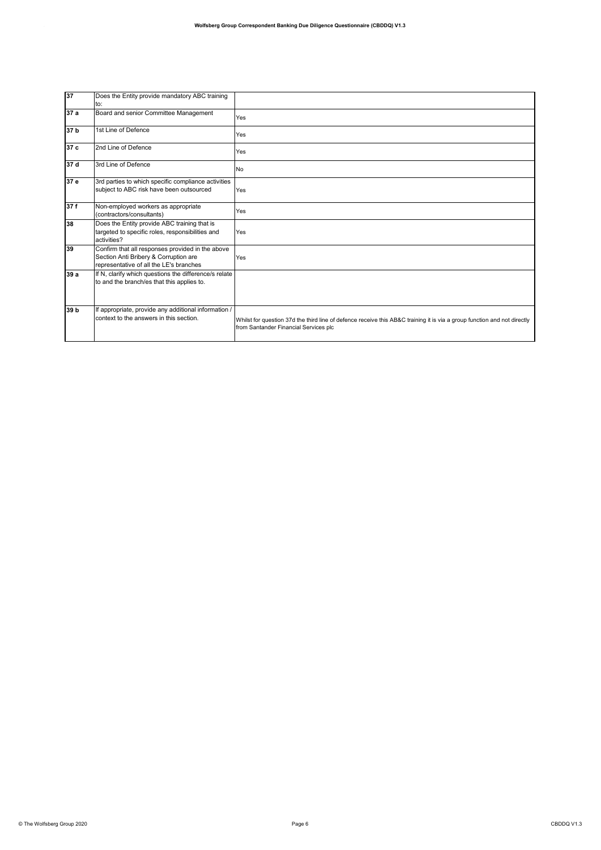| 37              | Does the Entity provide mandatory ABC training<br>to:                                                                                |                                                                                                                                                                   |
|-----------------|--------------------------------------------------------------------------------------------------------------------------------------|-------------------------------------------------------------------------------------------------------------------------------------------------------------------|
| 37 a            | Board and senior Committee Management                                                                                                | Yes                                                                                                                                                               |
| 37 <sub>b</sub> | 1st Line of Defence                                                                                                                  | Yes                                                                                                                                                               |
| 37 c            | 2nd Line of Defence                                                                                                                  | Yes                                                                                                                                                               |
| 37 d            | 3rd Line of Defence                                                                                                                  | No                                                                                                                                                                |
| 37 e            | 3rd parties to which specific compliance activities<br>subject to ABC risk have been outsourced                                      | Yes                                                                                                                                                               |
| 37f             | Non-employed workers as appropriate<br>(contractors/consultants)                                                                     | Yes                                                                                                                                                               |
| 38              | Does the Entity provide ABC training that is<br>targeted to specific roles, responsibilities and<br>activities?                      | Yes                                                                                                                                                               |
| 39              | Confirm that all responses provided in the above<br>Section Anti Bribery & Corruption are<br>representative of all the LE's branches | Yes                                                                                                                                                               |
| 39 a            | If N, clarify which questions the difference/s relate<br>to and the branch/es that this applies to.                                  |                                                                                                                                                                   |
| 39 b            | If appropriate, provide any additional information /<br>context to the answers in this section.                                      | Whilst for question 37d the third line of defence receive this AB&C training it is via a group function and not directly<br>from Santander Financial Services plc |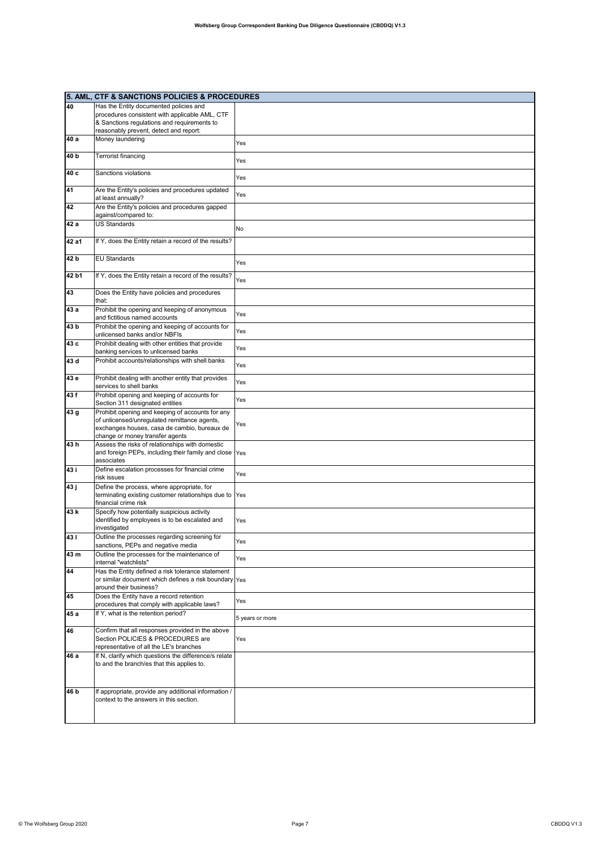|                 | 5. AML, CTF & SANCTIONS POLICIES & PROCEDURES                          |                 |
|-----------------|------------------------------------------------------------------------|-----------------|
| 40              | Has the Entity documented policies and                                 |                 |
|                 | procedures consistent with applicable AML, CTF                         |                 |
|                 | & Sanctions regulations and requirements to                            |                 |
|                 |                                                                        |                 |
| 40 a            | reasonably prevent, detect and report:                                 |                 |
|                 | Money laundering                                                       | Yes             |
| 40 <sub>b</sub> | Terrorist financing                                                    |                 |
|                 |                                                                        | Yes             |
| 40 c            | Sanctions violations                                                   |                 |
|                 |                                                                        | Yes             |
|                 |                                                                        |                 |
| 41              | Are the Entity's policies and procedures updated<br>at least annually? | Yes             |
| 42              | Are the Entity's policies and procedures gapped                        |                 |
|                 | against/compared to:                                                   |                 |
| 42 a            | <b>US Standards</b>                                                    |                 |
|                 |                                                                        | No              |
| 42 a1           | If Y, does the Entity retain a record of the results?                  |                 |
|                 |                                                                        |                 |
| 42 b            | <b>EU Standards</b>                                                    |                 |
|                 |                                                                        | Yes             |
| 42 b1           | If Y, does the Entity retain a record of the results?                  |                 |
|                 |                                                                        | Yes             |
| 43              | Does the Entity have policies and procedures                           |                 |
|                 | that:                                                                  |                 |
| 43 a            | Prohibit the opening and keeping of anonymous                          |                 |
|                 | and fictitious named accounts                                          | Yes             |
| 43 b            | Prohibit the opening and keeping of accounts for                       |                 |
|                 | unlicensed banks and/or NBFIs                                          | Yes             |
| 43 с            | Prohibit dealing with other entities that provide                      |                 |
|                 | banking services to unlicensed banks                                   | Yes             |
| 43 d            | Prohibit accounts/relationships with shell banks                       |                 |
|                 |                                                                        | Yes             |
| 43 e            | Prohibit dealing with another entity that provides                     |                 |
|                 | services to shell banks                                                | Yes             |
| 43 f            | Prohibit opening and keeping of accounts for                           |                 |
|                 | Section 311 designated entities                                        | Yes             |
| 43 g            | Prohibit opening and keeping of accounts for any                       |                 |
|                 | of unlicensed/unregulated remittance agents,                           |                 |
|                 | exchanges houses, casa de cambio, bureaux de                           | Yes             |
|                 | change or money transfer agents                                        |                 |
| 43h             | Assess the risks of relationships with domestic                        |                 |
|                 | and foreign PEPs, including their family and close Yes                 |                 |
|                 | associates                                                             |                 |
| 43 i            | Define escalation processes for financial crime                        | Yes             |
|                 | risk issues                                                            |                 |
| 43 ј            | Define the process, where appropriate, for                             |                 |
|                 | terminating existing customer relationships due to                     | Yes             |
|                 | financial crime risk                                                   |                 |
| 43 k            | Specify how potentially suspicious activity                            |                 |
|                 | identified by employees is to be escalated and                         | Yes             |
|                 | investigated                                                           |                 |
| 431             | Outline the processes regarding screening for                          | Yes             |
| 43 m            | sanctions, PEPs and negative media                                     |                 |
|                 | Outline the processes for the maintenance of<br>internal "watchlists"  | Yes             |
| 44              | Has the Entity defined a risk tolerance statement                      |                 |
|                 | or similar document which defines a risk boundary Yes                  |                 |
|                 | around their business?                                                 |                 |
| 45              | Does the Entity have a record retention                                |                 |
|                 | procedures that comply with applicable laws?                           | Yes             |
| 45 a            | If Y, what is the retention period?                                    |                 |
|                 |                                                                        | 5 years or more |
| 46              | Confirm that all responses provided in the above                       |                 |
|                 | Section POLICIES & PROCEDURES are                                      | Yes             |
|                 | representative of all the LE's branches                                |                 |
| 46 a            | If N, clarify which questions the difference/s relate                  |                 |
|                 | to and the branch/es that this applies to.                             |                 |
|                 |                                                                        |                 |
|                 |                                                                        |                 |
| 46 b            | If appropriate, provide any additional information /                   |                 |
|                 | context to the answers in this section.                                |                 |
|                 |                                                                        |                 |
|                 |                                                                        |                 |
|                 |                                                                        |                 |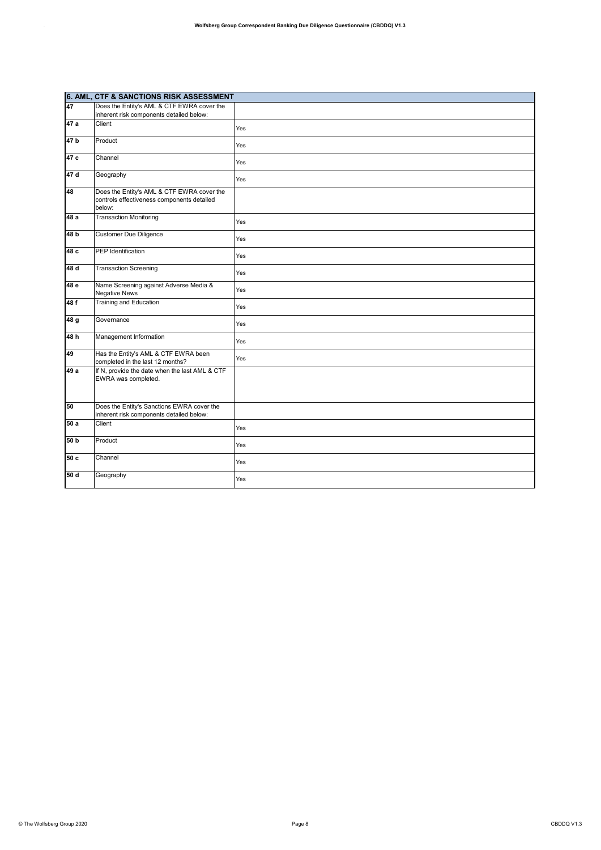|                 | 6. AML, CTF & SANCTIONS RISK ASSESSMENT                                                            |     |
|-----------------|----------------------------------------------------------------------------------------------------|-----|
| 47              | Does the Entity's AML & CTF EWRA cover the                                                         |     |
|                 | inherent risk components detailed below:                                                           |     |
| 47a             | Client                                                                                             | Yes |
| 47 b            | Product                                                                                            | Yes |
| 47 c            | Channel                                                                                            | Yes |
| 47d             | Geography                                                                                          | Yes |
| 48              | Does the Entity's AML & CTF EWRA cover the<br>controls effectiveness components detailed<br>below: |     |
| 48a             | <b>Transaction Monitoring</b>                                                                      | Yes |
| 48 <sub>b</sub> | <b>Customer Due Diligence</b>                                                                      | Yes |
| 48c             | PEP Identification                                                                                 | Yes |
| 48d             | <b>Transaction Screening</b>                                                                       | Yes |
| 48 e            | Name Screening against Adverse Media &<br><b>Negative News</b>                                     | Yes |
| 48f             | Training and Education                                                                             | Yes |
| 48 g            | Governance                                                                                         | Yes |
| 48h             | Management Information                                                                             | Yes |
| 49              | Has the Entity's AML & CTF EWRA been<br>completed in the last 12 months?                           | Yes |
| 49 a            | If N, provide the date when the last AML & CTF<br>EWRA was completed.                              |     |
| 50              | Does the Entity's Sanctions EWRA cover the<br>inherent risk components detailed below:             |     |
| 50 a            | Client                                                                                             | Yes |
| 50 b            | Product                                                                                            | Yes |
| 50c             | Channel                                                                                            | Yes |
| 50 d            | Geography                                                                                          | Yes |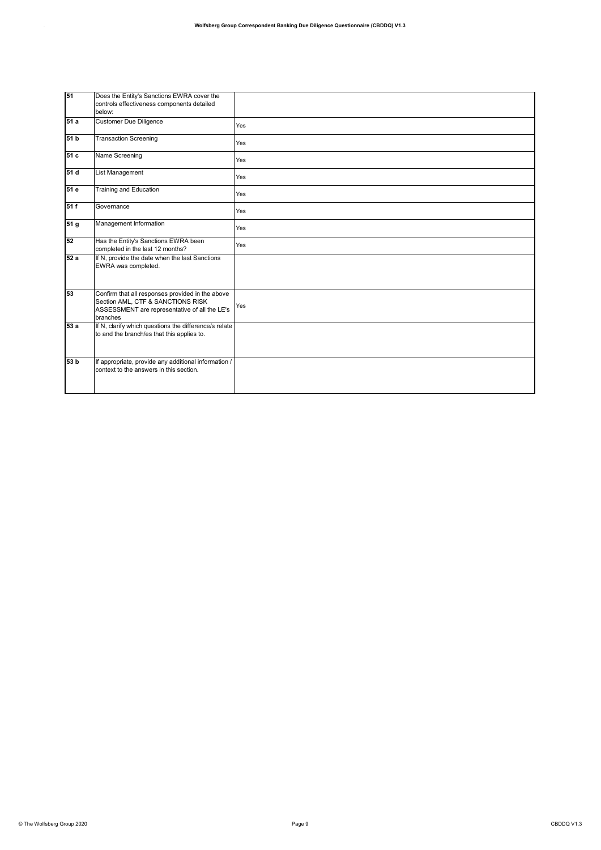| 151               | Does the Entity's Sanctions EWRA cover the<br>controls effectiveness components detailed<br>below:                                                 |     |
|-------------------|----------------------------------------------------------------------------------------------------------------------------------------------------|-----|
| 51 a              | <b>Customer Due Diligence</b>                                                                                                                      | Yes |
| 51 b              | <b>Transaction Screening</b>                                                                                                                       | Yes |
| $\overline{51}$ c | Name Screening                                                                                                                                     | Yes |
| 51 d              | List Management                                                                                                                                    | Yes |
| 51 e              | Training and Education                                                                                                                             | Yes |
| 51f               | Governance                                                                                                                                         | Yes |
| 51 <sub>g</sub>   | Management Information                                                                                                                             | Yes |
| 52                | Has the Entity's Sanctions EWRA been<br>completed in the last 12 months?                                                                           | Yes |
| 52 a              | If N, provide the date when the last Sanctions<br>EWRA was completed.                                                                              |     |
| 53                | Confirm that all responses provided in the above<br>Section AML, CTF & SANCTIONS RISK<br>ASSESSMENT are representative of all the LE's<br>branches | Yes |
| 53 a              | If N, clarify which questions the difference/s relate<br>to and the branch/es that this applies to.                                                |     |
| 53 b              | If appropriate, provide any additional information /<br>context to the answers in this section.                                                    |     |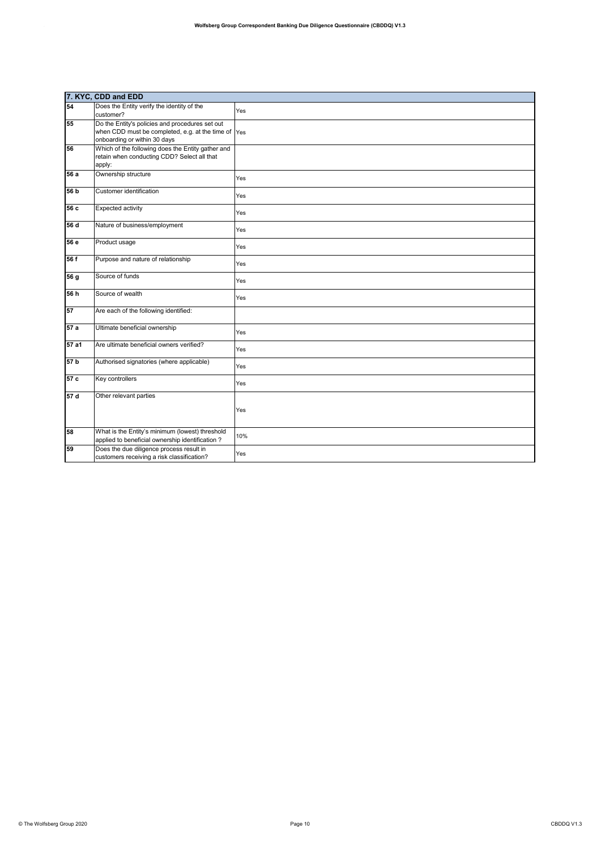|                 | 7. KYC, CDD and EDD                                                                                                                    |     |
|-----------------|----------------------------------------------------------------------------------------------------------------------------------------|-----|
| 54              | Does the Entity verify the identity of the<br>customer?                                                                                | Yes |
| 55              | Do the Entity's policies and procedures set out<br>when CDD must be completed, e.g. at the time of Yes<br>onboarding or within 30 days |     |
| 56              | Which of the following does the Entity gather and<br>retain when conducting CDD? Select all that<br>apply:                             |     |
| 56 a            | Ownership structure                                                                                                                    | Yes |
| 56 b            | Customer identification                                                                                                                | Yes |
| 56 c            | <b>Expected activity</b>                                                                                                               | Yes |
| 56 d            | Nature of business/employment                                                                                                          | Yes |
| 56 e            | Product usage                                                                                                                          | Yes |
| 56f             | Purpose and nature of relationship                                                                                                     | Yes |
| 56 g            | Source of funds                                                                                                                        | Yes |
| 56 h            | Source of wealth                                                                                                                       | Yes |
| 57              | Are each of the following identified:                                                                                                  |     |
| 57a             | Ultimate beneficial ownership                                                                                                          | Yes |
| 57a1            | Are ultimate beneficial owners verified?                                                                                               | Yes |
| 57 <sub>b</sub> | Authorised signatories (where applicable)                                                                                              | Yes |
| 57c             | Key controllers                                                                                                                        | Yes |
| 57d             | Other relevant parties                                                                                                                 | Yes |
| 58              | What is the Entity's minimum (lowest) threshold<br>applied to beneficial ownership identification?                                     | 10% |
| 59              | Does the due diligence process result in<br>customers receiving a risk classification?                                                 | Yes |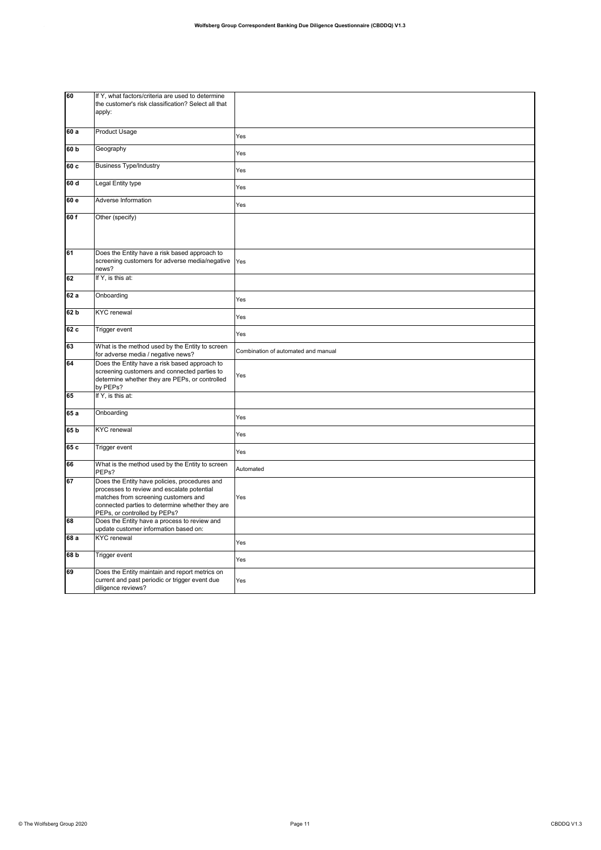| 60              | If Y, what factors/criteria are used to determine<br>the customer's risk classification? Select all that<br>apply:                                                                                                     |                                     |
|-----------------|------------------------------------------------------------------------------------------------------------------------------------------------------------------------------------------------------------------------|-------------------------------------|
| 60 a            | <b>Product Usage</b>                                                                                                                                                                                                   | Yes                                 |
| 60 b            | Geography                                                                                                                                                                                                              | Yes                                 |
| 60 c            | <b>Business Type/Industry</b>                                                                                                                                                                                          | Yes                                 |
| 60 d            | Legal Entity type                                                                                                                                                                                                      | Yes                                 |
| 60 e            | Adverse Information                                                                                                                                                                                                    | Yes                                 |
| 60 f            | Other (specify)                                                                                                                                                                                                        |                                     |
| 61              | Does the Entity have a risk based approach to<br>screening customers for adverse media/negative<br>news?                                                                                                               | Yes                                 |
| 62              | If Y, is this at:                                                                                                                                                                                                      |                                     |
| 62 a            | Onboarding                                                                                                                                                                                                             | Yes                                 |
| 62 b            | <b>KYC</b> renewal                                                                                                                                                                                                     | Yes                                 |
| 62c             | <b>Trigger event</b>                                                                                                                                                                                                   | Yes                                 |
| 63              | What is the method used by the Entity to screen<br>for adverse media / negative news?                                                                                                                                  | Combination of automated and manual |
| 64              | Does the Entity have a risk based approach to<br>screening customers and connected parties to<br>determine whether they are PEPs, or controlled<br>by PEPs?                                                            | Yes                                 |
| 65              | If Y, is this at:                                                                                                                                                                                                      |                                     |
| 65 a            | Onboarding                                                                                                                                                                                                             | Yes                                 |
| 65 <sub>b</sub> | <b>KYC</b> renewal                                                                                                                                                                                                     | Yes                                 |
| 65 c            | Trigger event                                                                                                                                                                                                          | Yes                                 |
| 66              | What is the method used by the Entity to screen<br>PEP <sub>s</sub> ?                                                                                                                                                  | Automated                           |
| 67              | Does the Entity have policies, procedures and<br>processes to review and escalate potential<br>matches from screening customers and<br>connected parties to determine whether they are<br>PEPs, or controlled by PEPs? | Yes                                 |
| 68              | Does the Entity have a process to review and<br>update customer information based on:                                                                                                                                  |                                     |
| 68 a            | <b>KYC</b> renewal                                                                                                                                                                                                     | Yes                                 |
| 68 b            | Trigger event                                                                                                                                                                                                          | Yes                                 |
| 69              | Does the Entity maintain and report metrics on<br>current and past periodic or trigger event due<br>diligence reviews?                                                                                                 | Yes                                 |
|                 |                                                                                                                                                                                                                        |                                     |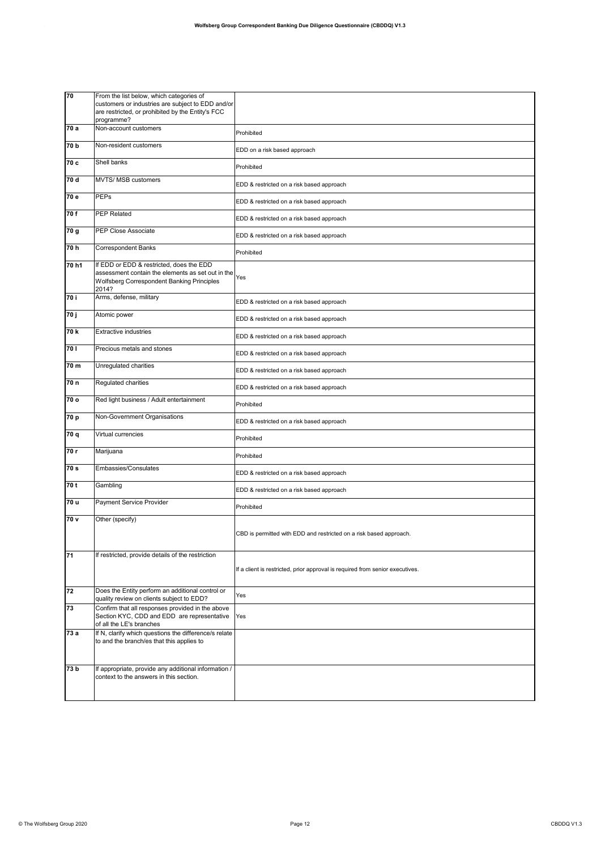| 70    | From the list below, which categories of<br>customers or industries are subject to EDD and/or<br>are restricted, or prohibited by the Entity's FCC<br>programme? |                                                                               |
|-------|------------------------------------------------------------------------------------------------------------------------------------------------------------------|-------------------------------------------------------------------------------|
| 70 a  | Non-account customers                                                                                                                                            | Prohibited                                                                    |
| 70 b  | Non-resident customers                                                                                                                                           | EDD on a risk based approach                                                  |
| 70 c  | Shell banks                                                                                                                                                      | Prohibited                                                                    |
| 70 d  | <b>MVTS/ MSB customers</b>                                                                                                                                       | EDD & restricted on a risk based approach                                     |
| 70 e  | <b>PEPs</b>                                                                                                                                                      | EDD & restricted on a risk based approach                                     |
| 70f   | <b>PEP Related</b>                                                                                                                                               | EDD & restricted on a risk based approach                                     |
| 70 g  | <b>PEP Close Associate</b>                                                                                                                                       | EDD & restricted on a risk based approach                                     |
| 70 h  | <b>Correspondent Banks</b>                                                                                                                                       | Prohibited                                                                    |
| 70 h1 | If EDD or EDD & restricted, does the EDD<br>assessment contain the elements as set out in the<br><b>Wolfsberg Correspondent Banking Principles</b><br>2014?      | Yes                                                                           |
| 70 i  | Arms, defense, military                                                                                                                                          | EDD & restricted on a risk based approach                                     |
| 70 j  | Atomic power                                                                                                                                                     | EDD & restricted on a risk based approach                                     |
| 70 k  | <b>Extractive industries</b>                                                                                                                                     | EDD & restricted on a risk based approach                                     |
| 70 I  | Precious metals and stones                                                                                                                                       | EDD & restricted on a risk based approach                                     |
| 70 m  | Unregulated charities                                                                                                                                            | EDD & restricted on a risk based approach                                     |
| 70 n  | Regulated charities                                                                                                                                              | EDD & restricted on a risk based approach                                     |
| 70 o  | Red light business / Adult entertainment                                                                                                                         | Prohibited                                                                    |
| 70 p  | Non-Government Organisations                                                                                                                                     | EDD & restricted on a risk based approach                                     |
| 70 q  | Virtual currencies                                                                                                                                               | Prohibited                                                                    |
| 70 r  | Marijuana                                                                                                                                                        | Prohibited                                                                    |
| 70 s  | Embassies/Consulates                                                                                                                                             | EDD & restricted on a risk based approach                                     |
| 70 t  | Gambling                                                                                                                                                         | EDD & restricted on a risk based approach                                     |
| 70 u  | Payment Service Provider                                                                                                                                         | Prohibited                                                                    |
| 70 v  | Other (specify)                                                                                                                                                  | CBD is permitted with EDD and restricted on a risk based approach.            |
| 71    | If restricted, provide details of the restriction                                                                                                                | If a client is restricted, prior approval is required from senior executives. |
| 72    | Does the Entity perform an additional control or<br>quality review on clients subject to EDD?                                                                    | Yes                                                                           |
| 73    | Confirm that all responses provided in the above<br>Section KYC, CDD and EDD are representative<br>of all the LE's branches                                      | Yes                                                                           |
| 73 a  | If N, clarify which questions the difference/s relate<br>to and the branch/es that this applies to                                                               |                                                                               |
| 73 b  | If appropriate, provide any additional information /<br>context to the answers in this section.                                                                  |                                                                               |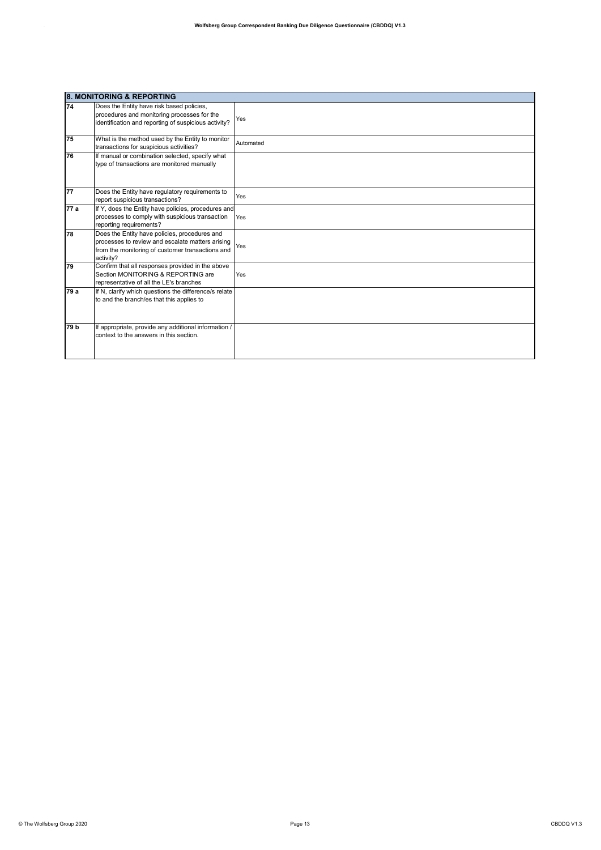|                 | <b>8. MONITORING &amp; REPORTING</b>                                                                                                                               |           |  |
|-----------------|--------------------------------------------------------------------------------------------------------------------------------------------------------------------|-----------|--|
| 74              | Does the Entity have risk based policies,<br>procedures and monitoring processes for the<br>identification and reporting of suspicious activity?                   | Yes       |  |
| 75              | What is the method used by the Entity to monitor<br>transactions for suspicious activities?                                                                        | Automated |  |
| 76              | If manual or combination selected, specify what<br>type of transactions are monitored manually                                                                     |           |  |
| 77              | Does the Entity have regulatory requirements to<br>report suspicious transactions?                                                                                 | Yes       |  |
| 77 a            | If Y, does the Entity have policies, procedures and<br>processes to comply with suspicious transaction<br>reporting requirements?                                  | Yes       |  |
| 78              | Does the Entity have policies, procedures and<br>processes to review and escalate matters arising<br>from the monitoring of customer transactions and<br>activity? | Yes       |  |
| 79              | Confirm that all responses provided in the above<br>Section MONITORING & REPORTING are<br>representative of all the LE's branches                                  | Yes       |  |
| 79 a            | If N, clarify which questions the difference/s relate<br>to and the branch/es that this applies to                                                                 |           |  |
| 79 <sub>b</sub> | If appropriate, provide any additional information /<br>context to the answers in this section.                                                                    |           |  |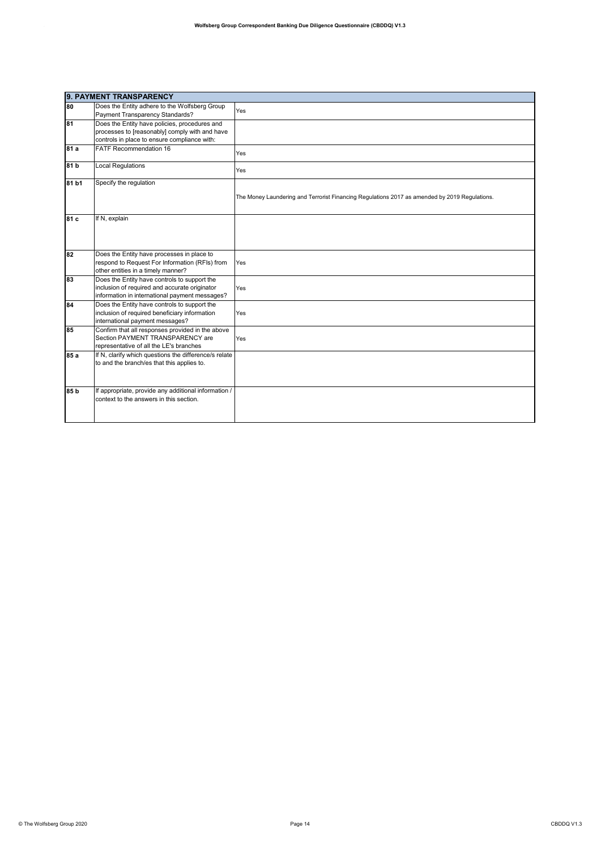|                 | 9. PAYMENT TRANSPARENCY                                                                             |                                                                                               |  |
|-----------------|-----------------------------------------------------------------------------------------------------|-----------------------------------------------------------------------------------------------|--|
| 80              | Does the Entity adhere to the Wolfsberg Group                                                       | Yes                                                                                           |  |
|                 | Payment Transparency Standards?                                                                     |                                                                                               |  |
| 81              | Does the Entity have policies, procedures and                                                       |                                                                                               |  |
|                 | processes to [reasonably] comply with and have                                                      |                                                                                               |  |
|                 | controls in place to ensure compliance with:                                                        |                                                                                               |  |
| 81 a            | <b>FATF Recommendation 16</b>                                                                       | Yes                                                                                           |  |
| 81 b            | <b>Local Regulations</b>                                                                            | Yes                                                                                           |  |
| 81 b1           | Specify the regulation                                                                              |                                                                                               |  |
|                 |                                                                                                     | The Money Laundering and Terrorist Financing Regulations 2017 as amended by 2019 Regulations. |  |
| 81 c            | If N, explain                                                                                       |                                                                                               |  |
| 82              | Does the Entity have processes in place to                                                          |                                                                                               |  |
|                 | respond to Request For Information (RFIs) from                                                      | Yes                                                                                           |  |
|                 | other entities in a timely manner?                                                                  |                                                                                               |  |
| 83              | Does the Entity have controls to support the                                                        |                                                                                               |  |
|                 | inclusion of required and accurate originator                                                       | Yes                                                                                           |  |
|                 | information in international payment messages?                                                      |                                                                                               |  |
| 84              | Does the Entity have controls to support the                                                        |                                                                                               |  |
|                 | inclusion of required beneficiary information                                                       | Yes                                                                                           |  |
|                 | international payment messages?                                                                     |                                                                                               |  |
| 85              | Confirm that all responses provided in the above                                                    |                                                                                               |  |
|                 | Section PAYMENT TRANSPARENCY are<br>representative of all the LE's branches                         | Yes                                                                                           |  |
| 85 a            |                                                                                                     |                                                                                               |  |
|                 | If N, clarify which questions the difference/s relate<br>to and the branch/es that this applies to. |                                                                                               |  |
|                 |                                                                                                     |                                                                                               |  |
| 85 <sub>b</sub> | If appropriate, provide any additional information /                                                |                                                                                               |  |
|                 | context to the answers in this section.                                                             |                                                                                               |  |
|                 |                                                                                                     |                                                                                               |  |
|                 |                                                                                                     |                                                                                               |  |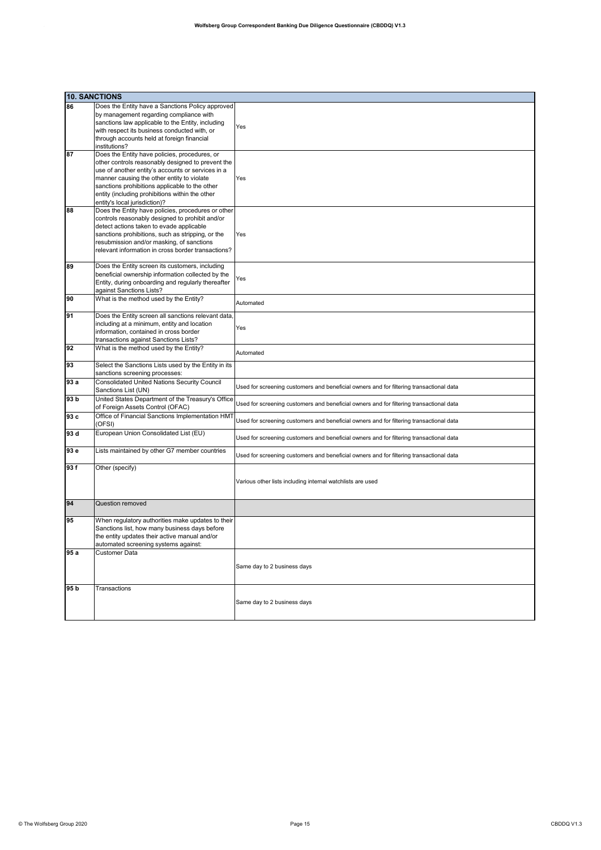|                 | <b>10. SANCTIONS</b>                                                                                                                                                                                                                                                                                                                        |                                                                                         |
|-----------------|---------------------------------------------------------------------------------------------------------------------------------------------------------------------------------------------------------------------------------------------------------------------------------------------------------------------------------------------|-----------------------------------------------------------------------------------------|
| 86              | Does the Entity have a Sanctions Policy approved<br>by management regarding compliance with<br>sanctions law applicable to the Entity, including<br>with respect its business conducted with, or<br>through accounts held at foreign financial<br>institutions?                                                                             | Yes                                                                                     |
| 87              | Does the Entity have policies, procedures, or<br>other controls reasonably designed to prevent the<br>use of another entity's accounts or services in a<br>manner causing the other entity to violate<br>sanctions prohibitions applicable to the other<br>entity (including prohibitions within the other<br>entity's local jurisdiction)? | Yes                                                                                     |
| 88              | Does the Entity have policies, procedures or other<br>controls reasonably designed to prohibit and/or<br>detect actions taken to evade applicable<br>sanctions prohibitions, such as stripping, or the<br>resubmission and/or masking, of sanctions<br>relevant information in cross border transactions?                                   | Yes                                                                                     |
| 89              | Does the Entity screen its customers, including<br>beneficial ownership information collected by the<br>Entity, during onboarding and regularly thereafter<br>against Sanctions Lists?                                                                                                                                                      | Yes                                                                                     |
| 90              | What is the method used by the Entity?                                                                                                                                                                                                                                                                                                      | Automated                                                                               |
| 91              | Does the Entity screen all sanctions relevant data,<br>including at a minimum, entity and location<br>information, contained in cross border<br>transactions against Sanctions Lists?                                                                                                                                                       | Yes                                                                                     |
| 92              | What is the method used by the Entity?                                                                                                                                                                                                                                                                                                      | Automated                                                                               |
| 93              | Select the Sanctions Lists used by the Entity in its<br>sanctions screening processes:                                                                                                                                                                                                                                                      |                                                                                         |
| 93 a            | <b>Consolidated United Nations Security Council</b><br>Sanctions List (UN)                                                                                                                                                                                                                                                                  | Used for screening customers and beneficial owners and for filtering transactional data |
| 93 <sub>b</sub> | United States Department of the Treasury's Office<br>of Foreign Assets Control (OFAC)                                                                                                                                                                                                                                                       | Used for screening customers and beneficial owners and for filtering transactional data |
| 93 c            | Office of Financial Sanctions Implementation HMT<br>(OFSI)                                                                                                                                                                                                                                                                                  | Used for screening customers and beneficial owners and for filtering transactional data |
| 93 d            | European Union Consolidated List (EU)                                                                                                                                                                                                                                                                                                       | Used for screening customers and beneficial owners and for filtering transactional data |
| 93 e            | Lists maintained by other G7 member countries                                                                                                                                                                                                                                                                                               | Used for screening customers and beneficial owners and for filtering transactional data |
| 93f             | Other (specify)                                                                                                                                                                                                                                                                                                                             | Various other lists including internal watchlists are used                              |
| 94              | Question removed                                                                                                                                                                                                                                                                                                                            |                                                                                         |
| 95              | When regulatory authorities make updates to their<br>Sanctions list, how many business days before<br>the entity updates their active manual and/or<br>automated screening systems against:                                                                                                                                                 |                                                                                         |
| 95a             | Customer Data                                                                                                                                                                                                                                                                                                                               | Same day to 2 business days                                                             |
| 95 <sub>b</sub> | Transactions                                                                                                                                                                                                                                                                                                                                | Same day to 2 business days                                                             |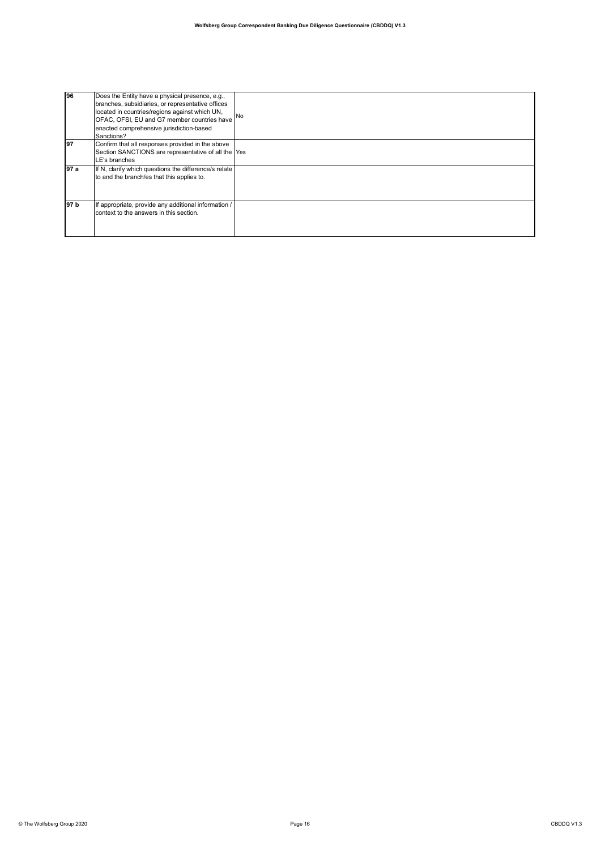| 196   | Does the Entity have a physical presence, e.g.,<br>branches, subsidiaries, or representative offices<br>located in countries/regions against which UN,<br>OFAC, OFSI, EU and G7 member countries have<br>enacted comprehensive jurisdiction-based<br>Sanctions? | <b>No</b> |
|-------|-----------------------------------------------------------------------------------------------------------------------------------------------------------------------------------------------------------------------------------------------------------------|-----------|
| 197   | Confirm that all responses provided in the above<br>Section SANCTIONS are representative of all the Yes<br>LE's branches                                                                                                                                        |           |
| 197 a | If N, clarify which questions the difference/s relate<br>to and the branch/es that this applies to.                                                                                                                                                             |           |
| 97 b  | If appropriate, provide any additional information /<br>context to the answers in this section.                                                                                                                                                                 |           |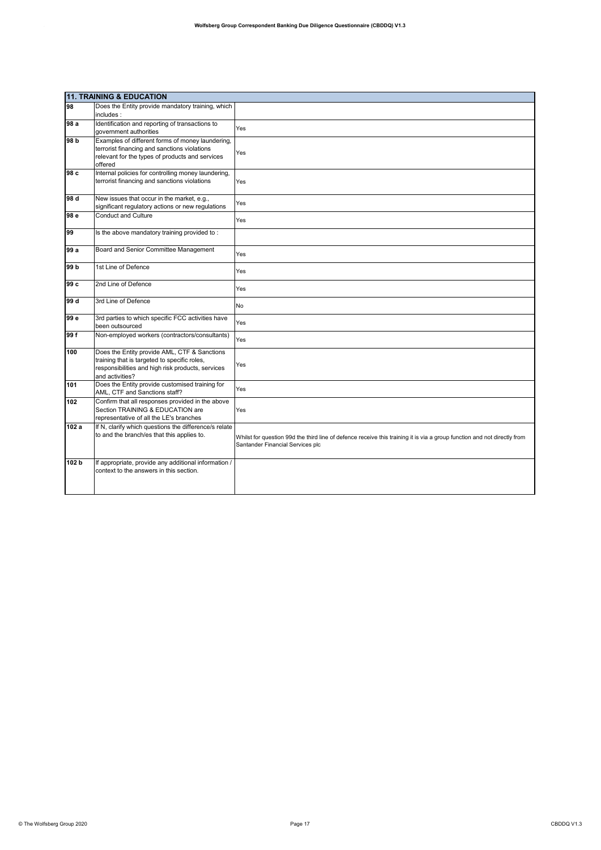|                 | <b>11. TRAINING &amp; EDUCATION</b>                                                                                                                                  |                                                                                                                                                              |  |
|-----------------|----------------------------------------------------------------------------------------------------------------------------------------------------------------------|--------------------------------------------------------------------------------------------------------------------------------------------------------------|--|
| 98              | Does the Entity provide mandatory training, which<br>includes:                                                                                                       |                                                                                                                                                              |  |
| 98 a            | Identification and reporting of transactions to<br>government authorities                                                                                            | Yes                                                                                                                                                          |  |
| 98 <sub>b</sub> | Examples of different forms of money laundering,<br>terrorist financing and sanctions violations<br>relevant for the types of products and services<br>offered       | Yes                                                                                                                                                          |  |
| 98 c            | Internal policies for controlling money laundering,<br>terrorist financing and sanctions violations                                                                  | Yes                                                                                                                                                          |  |
| 98 d            | New issues that occur in the market, e.g.,<br>significant regulatory actions or new regulations                                                                      | Yes                                                                                                                                                          |  |
| 98 e            | <b>Conduct and Culture</b>                                                                                                                                           | Yes                                                                                                                                                          |  |
| 99              | Is the above mandatory training provided to:                                                                                                                         |                                                                                                                                                              |  |
| 99 a            | Board and Senior Committee Management                                                                                                                                | Yes                                                                                                                                                          |  |
| 99 <sub>b</sub> | 1st Line of Defence                                                                                                                                                  | Yes                                                                                                                                                          |  |
| 99 c            | 2nd Line of Defence                                                                                                                                                  | Yes                                                                                                                                                          |  |
| 99 d            | 3rd Line of Defence                                                                                                                                                  | No                                                                                                                                                           |  |
| 99 e            | 3rd parties to which specific FCC activities have<br>been outsourced                                                                                                 | Yes                                                                                                                                                          |  |
| 99 f            | Non-employed workers (contractors/consultants)                                                                                                                       | Yes                                                                                                                                                          |  |
| 100             | Does the Entity provide AML, CTF & Sanctions<br>training that is targeted to specific roles,<br>responsibilities and high risk products, services<br>and activities? | Yes                                                                                                                                                          |  |
| 101             | Does the Entity provide customised training for<br>AML, CTF and Sanctions staff?                                                                                     | Yes                                                                                                                                                          |  |
| 102             | Confirm that all responses provided in the above<br>Section TRAINING & EDUCATION are<br>representative of all the LE's branches                                      | Yes                                                                                                                                                          |  |
| 102a            | If N, clarify which questions the difference/s relate<br>to and the branch/es that this applies to.                                                                  | Whilst for question 99d the third line of defence receive this training it is via a group function and not directly from<br>Santander Financial Services plc |  |
| 102 b           | If appropriate, provide any additional information /<br>context to the answers in this section.                                                                      |                                                                                                                                                              |  |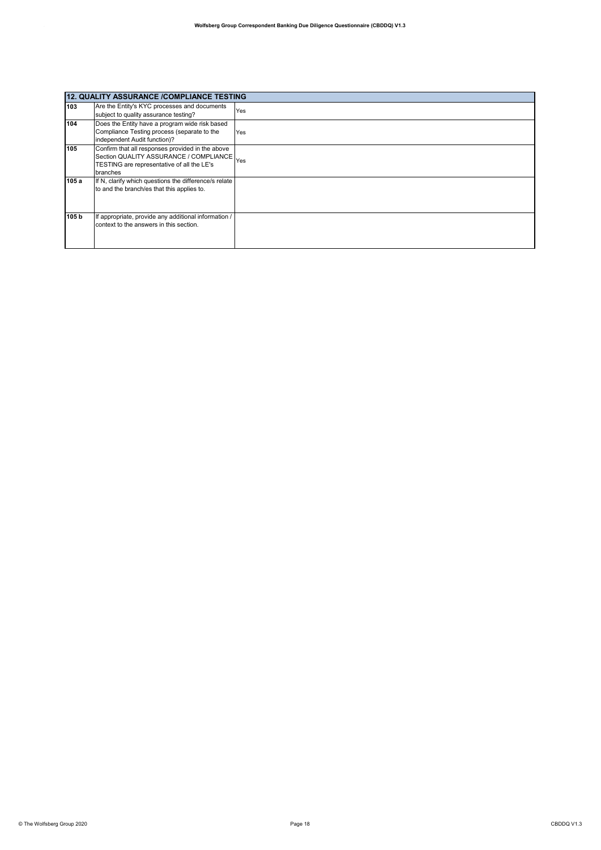|       | 12. QUALITY ASSURANCE /COMPLIANCE TESTING                                                                                                                |     |  |
|-------|----------------------------------------------------------------------------------------------------------------------------------------------------------|-----|--|
| 103   | Are the Entity's KYC processes and documents<br>subject to quality assurance testing?                                                                    | Yes |  |
| 104   | Does the Entity have a program wide risk based<br>Compliance Testing process (separate to the<br>independent Audit function)?                            | Yes |  |
| 105   | Confirm that all responses provided in the above<br>Section QUALITY ASSURANCE / COMPLIANCE Yes<br>TESTING are representative of all the LE's<br>branches |     |  |
| 105 a | If N, clarify which questions the difference/s relate<br>to and the branch/es that this applies to.                                                      |     |  |
| 105 b | If appropriate, provide any additional information /<br>context to the answers in this section.                                                          |     |  |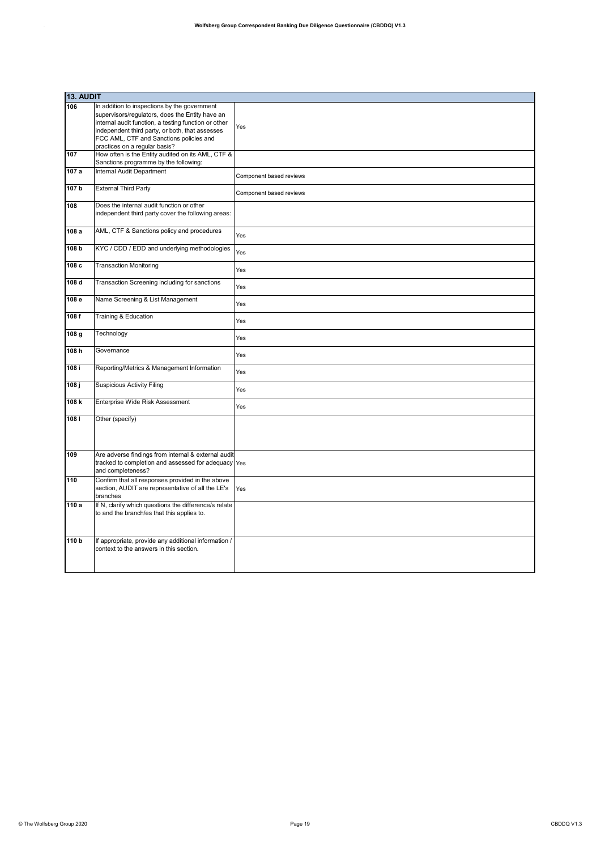|                    | 13. AUDIT                                                                                                                                                                                                                                             |                         |  |
|--------------------|-------------------------------------------------------------------------------------------------------------------------------------------------------------------------------------------------------------------------------------------------------|-------------------------|--|
| 106                | In addition to inspections by the government<br>supervisors/regulators, does the Entity have an<br>internal audit function, a testing function or other<br>independent third party, or both, that assesses<br>FCC AML, CTF and Sanctions policies and | Yes                     |  |
| 107                | practices on a regular basis?<br>How often is the Entity audited on its AML, CTF &                                                                                                                                                                    |                         |  |
|                    | Sanctions programme by the following:                                                                                                                                                                                                                 |                         |  |
| 107 a              | Internal Audit Department                                                                                                                                                                                                                             | Component based reviews |  |
| 107 <sub>b</sub>   | <b>External Third Party</b>                                                                                                                                                                                                                           | Component based reviews |  |
| 108                | Does the internal audit function or other<br>independent third party cover the following areas:                                                                                                                                                       |                         |  |
| 108 a              | AML, CTF & Sanctions policy and procedures                                                                                                                                                                                                            | Yes                     |  |
| 108 b              | KYC / CDD / EDD and underlying methodologies                                                                                                                                                                                                          | Yes                     |  |
| 108c               | <b>Transaction Monitoring</b>                                                                                                                                                                                                                         | Yes                     |  |
| 108d               | Transaction Screening including for sanctions                                                                                                                                                                                                         | Yes                     |  |
| 108 e              | Name Screening & List Management                                                                                                                                                                                                                      | Yes                     |  |
| 108 f              | Training & Education                                                                                                                                                                                                                                  | Yes                     |  |
| 108 g              | Technology                                                                                                                                                                                                                                            | Yes                     |  |
| 108h               | Governance                                                                                                                                                                                                                                            | Yes                     |  |
| 108 i              | Reporting/Metrics & Management Information                                                                                                                                                                                                            | Yes                     |  |
| $\overline{108}$ j | <b>Suspicious Activity Filing</b>                                                                                                                                                                                                                     | Yes                     |  |
| 108k               | Enterprise Wide Risk Assessment                                                                                                                                                                                                                       | Yes                     |  |
| 1081               | Other (specify)                                                                                                                                                                                                                                       |                         |  |
| 109                | Are adverse findings from internal & external audit<br>tracked to completion and assessed for adequacy Yes<br>and completeness?                                                                                                                       |                         |  |
| 110                | Confirm that all responses provided in the above<br>section, AUDIT are representative of all the LE's<br>branches                                                                                                                                     | Yes                     |  |
| 110 a              | If N, clarify which questions the difference/s relate<br>to and the branch/es that this applies to.                                                                                                                                                   |                         |  |
| 110 <sub>b</sub>   | If appropriate, provide any additional information /<br>context to the answers in this section.                                                                                                                                                       |                         |  |